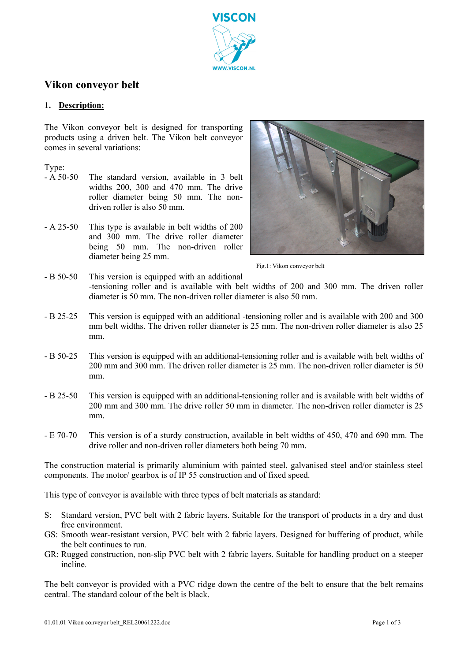

# **Vikon conveyor belt**

## **1. Description:**

The Vikon conveyor belt is designed for transporting products using a driven belt. The Vikon belt conveyor comes in several variations:

#### Type:

- A 50-50 The standard version, available in 3 belt widths 200, 300 and 470 mm. The drive roller diameter being 50 mm. The nondriven roller is also 50 mm.
- A 25-50 This type is available in belt widths of 200 and 300 mm. The drive roller diameter being 50 mm. The non-driven roller diameter being 25 mm.



Fig.1: Vikon conveyor belt

- B 50-50 This version is equipped with an additional -tensioning roller and is available with belt widths of 200 and 300 mm. The driven roller diameter is 50 mm. The non-driven roller diameter is also 50 mm.
- B 25-25 This version is equipped with an additional -tensioning roller and is available with 200 and 300 mm belt widths. The driven roller diameter is 25 mm. The non-driven roller diameter is also 25 mm.
- B 50-25 This version is equipped with an additional-tensioning roller and is available with belt widths of 200 mm and 300 mm. The driven roller diameter is 25 mm. The non-driven roller diameter is 50 mm.
- B 25-50 This version is equipped with an additional-tensioning roller and is available with belt widths of 200 mm and 300 mm. The drive roller 50 mm in diameter. The non-driven roller diameter is 25 mm.
- E 70-70 This version is of a sturdy construction, available in belt widths of 450, 470 and 690 mm. The drive roller and non-driven roller diameters both being 70 mm.

The construction material is primarily aluminium with painted steel, galvanised steel and/or stainless steel components. The motor/ gearbox is of IP 55 construction and of fixed speed.

This type of conveyor is available with three types of belt materials as standard:

- S: Standard version, PVC belt with 2 fabric layers. Suitable for the transport of products in a dry and dust free environment.
- GS: Smooth wear-resistant version, PVC belt with 2 fabric layers. Designed for buffering of product, while the belt continues to run.
- GR: Rugged construction, non-slip PVC belt with 2 fabric layers. Suitable for handling product on a steeper incline.

The belt conveyor is provided with a PVC ridge down the centre of the belt to ensure that the belt remains central. The standard colour of the belt is black.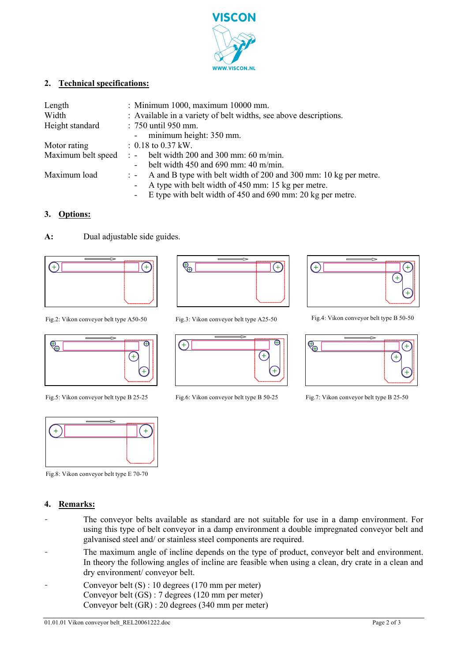

#### **2. Technical specifications:**

| Length             | : Minimum 1000, maximum 10000 mm.                                             |
|--------------------|-------------------------------------------------------------------------------|
| Width              | : Available in a variety of belt widths, see above descriptions.              |
| Height standard    | : 750 until 950 mm.                                                           |
|                    | - minimum height: 350 mm.                                                     |
| Motor rating       | $: 0.18$ to 0.37 kW.                                                          |
| Maximum belt speed | $\therefore$ belt width 200 and 300 mm: 60 m/min.                             |
|                    | belt width $450$ and $690$ mm: $40$ m/min.<br>$\blacksquare$                  |
| Maximum load       | $\therefore$ A and B type with belt width of 200 and 300 mm: 10 kg per metre. |
|                    | A type with belt width of 450 mm: 15 kg per metre.                            |
|                    | E type with belt width of 450 and 690 mm: 20 kg per metre.                    |

#### **3. Options:**

#### **A:** Dual adjustable side guides.







Fig.8: Vikon conveyor belt type E 70-70

### **4. Remarks:**

- The conveyor belts available as standard are not suitable for use in a damp environment. For using this type of belt conveyor in a damp environment a double impregnated conveyor belt and galvanised steel and/ or stainless steel components are required.
- The maximum angle of incline depends on the type of product, conveyor belt and environment. In theory the following angles of incline are feasible when using a clean, dry crate in a clean and dry environment/ conveyor belt.
- Conveyor belt (S) : 10 degrees (170 mm per meter) Conveyor belt (GS) : 7 degrees (120 mm per meter) Conveyor belt (GR) : 20 degrees (340 mm per meter)





Fig.5: Vikon conveyor belt type B 25-25 Fig.6: Vikon conveyor belt type B 50-25 Fig.7: Vikon conveyor belt type B 25-50



Fig.2: Vikon conveyor belt type A50-50 Fig.3: Vikon conveyor belt type A25-50 Fig.4: Vikon conveyor belt type B 50-50